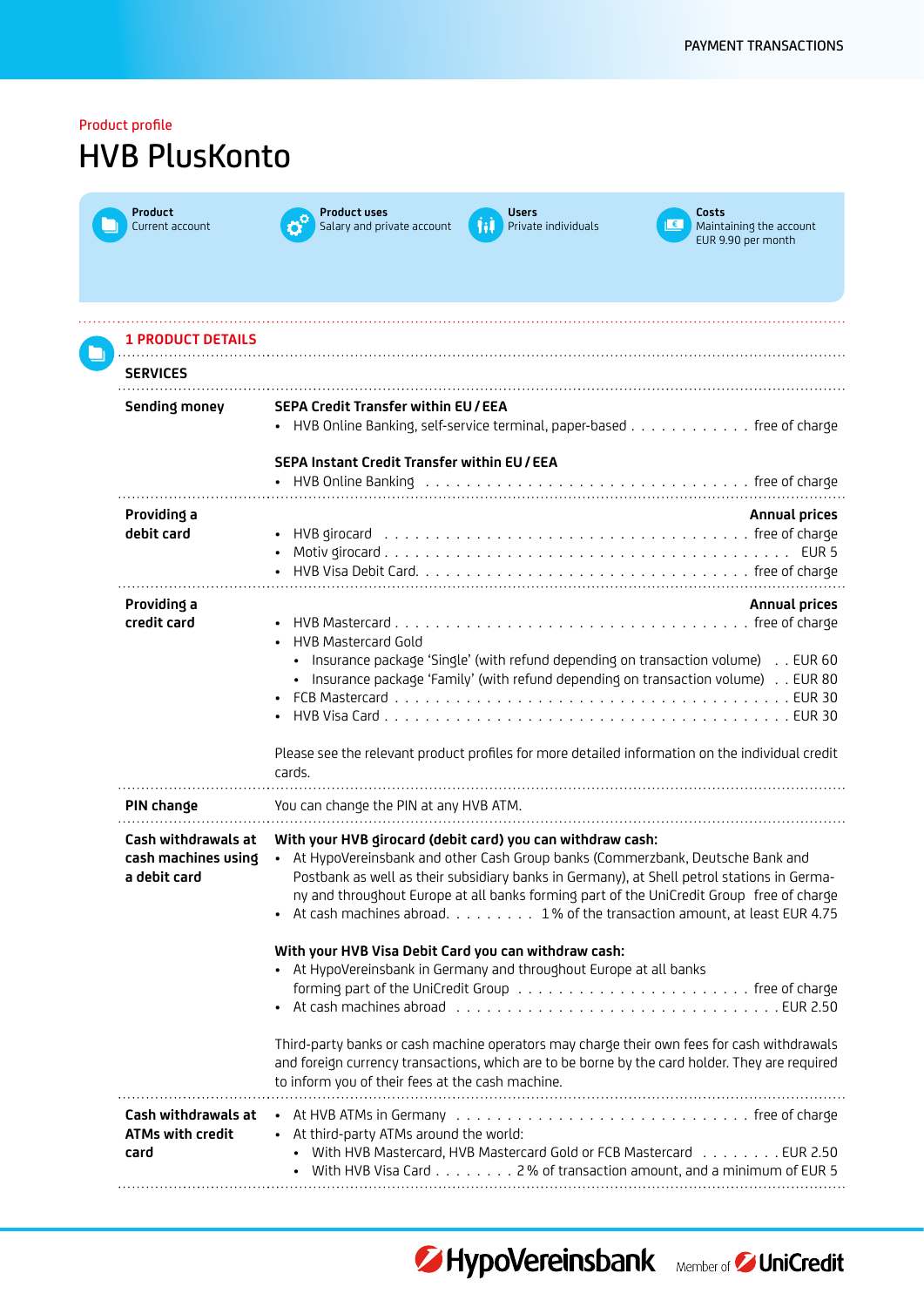| Product profile<br><b>HVB PlusKonto</b>                    |                                                                                                                                                                                                                                                                                                                                                                                                                       |  |
|------------------------------------------------------------|-----------------------------------------------------------------------------------------------------------------------------------------------------------------------------------------------------------------------------------------------------------------------------------------------------------------------------------------------------------------------------------------------------------------------|--|
| Product<br>Current account                                 | <b>Product uses</b><br><b>Users</b><br>Costs<br>€∣<br>Salary and private account<br>Hil<br>Private individuals<br>Maintaining the account<br>EUR 9.90 per month                                                                                                                                                                                                                                                       |  |
| <b>1 PRODUCT DETAILS</b><br><b>SERVICES</b>                |                                                                                                                                                                                                                                                                                                                                                                                                                       |  |
| <b>Sending money</b>                                       | <b>SEPA Credit Transfer within EU/EEA</b><br>• HVB Online Banking, self-service terminal, paper-based free of charge                                                                                                                                                                                                                                                                                                  |  |
|                                                            | SEPA Instant Credit Transfer within EU / EEA                                                                                                                                                                                                                                                                                                                                                                          |  |
| Providing a<br>debit card                                  | <b>Annual prices</b>                                                                                                                                                                                                                                                                                                                                                                                                  |  |
| Providing a<br>credit card                                 | <b>Annual prices</b><br><b>HVB Mastercard Gold</b><br>Insurance package 'Single' (with refund depending on transaction volume) EUR 60<br>• Insurance package 'Family' (with refund depending on transaction volume) EUR 80                                                                                                                                                                                            |  |
|                                                            | Please see the relevant product profiles for more detailed information on the individual credit<br>cards.                                                                                                                                                                                                                                                                                                             |  |
| PIN change                                                 | You can change the PIN at any HVB ATM.                                                                                                                                                                                                                                                                                                                                                                                |  |
| Cash withdrawals at<br>cash machines using<br>a debit card | With your HVB girocard (debit card) you can withdraw cash:<br>• At HypoVereinsbank and other Cash Group banks (Commerzbank, Deutsche Bank and<br>Postbank as well as their subsidiary banks in Germany), at Shell petrol stations in Germa-<br>ny and throughout Europe at all banks forming part of the UniCredit Group free of charge<br>• At cash machines abroad. 1% of the transaction amount, at least EUR 4.75 |  |
|                                                            | With your HVB Visa Debit Card you can withdraw cash:<br>• At HypoVereinsbank in Germany and throughout Europe at all banks                                                                                                                                                                                                                                                                                            |  |
|                                                            | Third-party banks or cash machine operators may charge their own fees for cash withdrawals<br>and foreign currency transactions, which are to be borne by the card holder. They are required<br>to inform you of their fees at the cash machine.                                                                                                                                                                      |  |
| Cash withdrawals at<br>ATMs with credit<br>card            | • At third-party ATMs around the world:<br>• With HVB Mastercard, HVB Mastercard Gold or FCB Mastercard EUR 2.50<br>• With HVB Visa Card 2% of transaction amount, and a minimum of EUR 5                                                                                                                                                                                                                             |  |
|                                                            |                                                                                                                                                                                                                                                                                                                                                                                                                       |  |



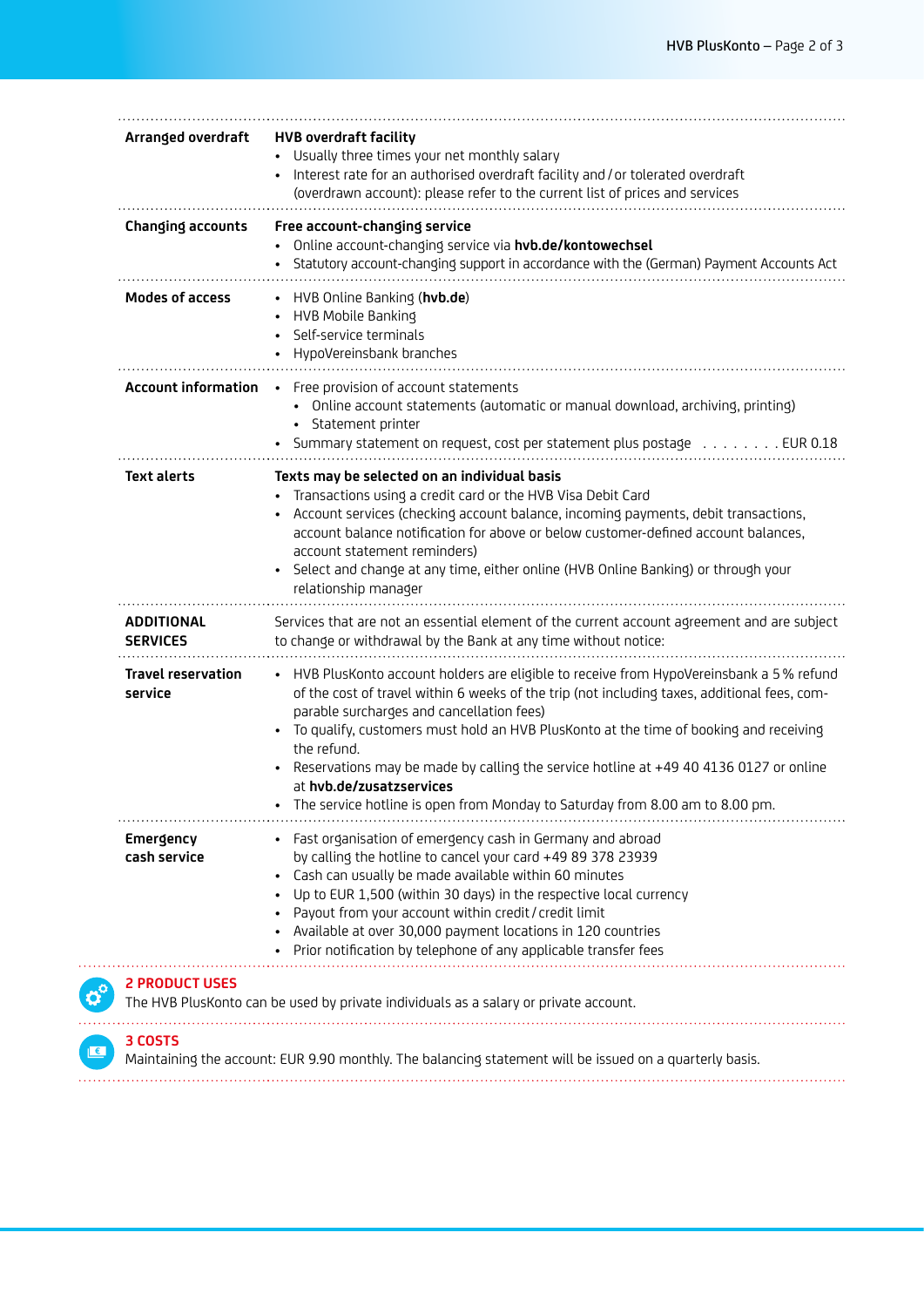| Arranged overdraft                   | <b>HVB overdraft facility</b><br>Usually three times your net monthly salary<br>Interest rate for an authorised overdraft facility and / or tolerated overdraft<br>(overdrawn account): please refer to the current list of prices and services                                                                                                                                                                                                                                                                                                                              |
|--------------------------------------|------------------------------------------------------------------------------------------------------------------------------------------------------------------------------------------------------------------------------------------------------------------------------------------------------------------------------------------------------------------------------------------------------------------------------------------------------------------------------------------------------------------------------------------------------------------------------|
| <b>Changing accounts</b>             | Free account-changing service<br>Online account-changing service via hvb.de/kontowechsel<br>Statutory account-changing support in accordance with the (German) Payment Accounts Act                                                                                                                                                                                                                                                                                                                                                                                          |
| <b>Modes of access</b>               | • HVB Online Banking (hvb.de)<br>HVB Mobile Banking<br>Self-service terminals<br>HypoVereinsbank branches                                                                                                                                                                                                                                                                                                                                                                                                                                                                    |
| <b>Account information</b>           | • Free provision of account statements<br>• Online account statements (automatic or manual download, archiving, printing)<br>• Statement printer<br>Summary statement on request, cost per statement plus postage EUR 0.18                                                                                                                                                                                                                                                                                                                                                   |
| <b>Text alerts</b>                   | Texts may be selected on an individual basis<br>Transactions using a credit card or the HVB Visa Debit Card<br>Account services (checking account balance, incoming payments, debit transactions,<br>account balance notification for above or below customer-defined account balances,<br>account statement reminders)<br>Select and change at any time, either online (HVB Online Banking) or through your<br>relationship manager                                                                                                                                         |
| <b>ADDITIONAL</b><br><b>SERVICES</b> | Services that are not an essential element of the current account agreement and are subject<br>to change or withdrawal by the Bank at any time without notice:                                                                                                                                                                                                                                                                                                                                                                                                               |
| <b>Travel reservation</b><br>service | • HVB PlusKonto account holders are eligible to receive from HypoVereinsbank a 5% refund<br>of the cost of travel within 6 weeks of the trip (not including taxes, additional fees, com-<br>parable surcharges and cancellation fees)<br>To qualify, customers must hold an HVB PlusKonto at the time of booking and receiving<br>$\bullet$<br>the refund.<br>Reservations may be made by calling the service hotline at +49 40 4136 0127 or online<br>$\bullet$<br>at hvb.de/zusatzservices<br>The service hotline is open from Monday to Saturday from 8.00 am to 8.00 pm. |
| <b>Emergency</b><br>cash service     | • Fast organisation of emergency cash in Germany and abroad<br>by calling the hotline to cancel your card +49 89 378 23939<br>Cash can usually be made available within 60 minutes<br>Up to EUR 1,500 (within 30 days) in the respective local currency<br>Payout from your account within credit / credit limit<br>Available at over 30,000 payment locations in 120 countries<br>Prior notification by telephone of any applicable transfer fees                                                                                                                           |

## **3 COSTS**

**18 Maintaining the account: EUR 9.90 monthly.** The balancing statement will be issued on a quarterly basis.